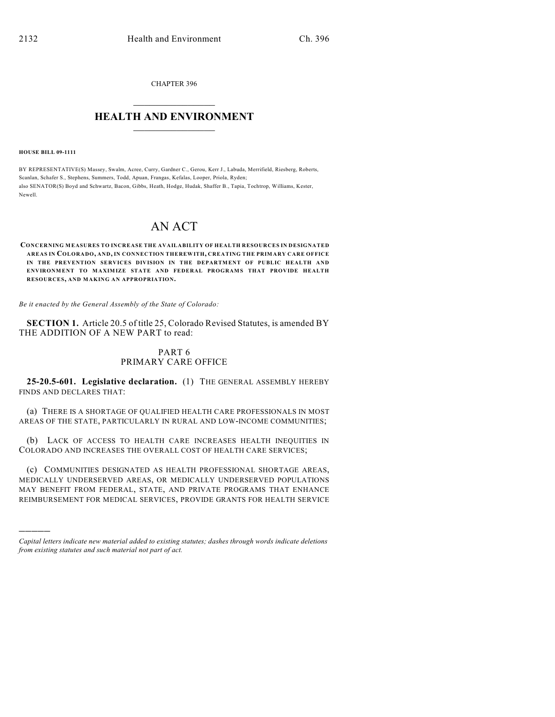CHAPTER 396

## $\overline{\phantom{a}}$  . The set of the set of the set of the set of the set of the set of the set of the set of the set of the set of the set of the set of the set of the set of the set of the set of the set of the set of the set o **HEALTH AND ENVIRONMENT**  $\_$

**HOUSE BILL 09-1111**

)))))

BY REPRESENTATIVE(S) Massey, Swalm, Acree, Curry, Gardner C., Gerou, Kerr J., Labuda, Merrifield, Riesberg, Roberts, Scanlan, Schafer S., Stephens, Summers, Todd, Apuan, Frangas, Kefalas, Looper, Priola, Ryden; also SENATOR(S) Boyd and Schwartz, Bacon, Gibbs, Heath, Hodge, Hudak, Shaffer B., Tapia, Tochtrop, Williams, Kester, Newell.

# AN ACT

#### **CONCERNING MEASURES TO INCREASE THE AVAILABILITY OF HEALTH RESOURCES IN DESIGNATED AREAS IN COLORADO, AND, IN CONNECTION THEREWITH, CREATING THE PRIMARY CARE OFFICE IN THE PREVENTION SERVICES DIVISION IN THE DEPARTMENT OF PUBLIC HEALTH AND** ENVIRONMENT TO MAXIMIZE STATE AND FEDERAL PROGRAMS THAT PROVIDE HEALTH **RESOURCES, AND MAKING AN APPROPRIATION.**

*Be it enacted by the General Assembly of the State of Colorado:*

**SECTION 1.** Article 20.5 of title 25, Colorado Revised Statutes, is amended BY THE ADDITION OF A NEW PART to read:

## PART 6 PRIMARY CARE OFFICE

**25-20.5-601. Legislative declaration.** (1) THE GENERAL ASSEMBLY HEREBY FINDS AND DECLARES THAT:

(a) THERE IS A SHORTAGE OF QUALIFIED HEALTH CARE PROFESSIONALS IN MOST AREAS OF THE STATE, PARTICULARLY IN RURAL AND LOW-INCOME COMMUNITIES;

(b) LACK OF ACCESS TO HEALTH CARE INCREASES HEALTH INEQUITIES IN COLORADO AND INCREASES THE OVERALL COST OF HEALTH CARE SERVICES;

(c) COMMUNITIES DESIGNATED AS HEALTH PROFESSIONAL SHORTAGE AREAS, MEDICALLY UNDERSERVED AREAS, OR MEDICALLY UNDERSERVED POPULATIONS MAY BENEFIT FROM FEDERAL, STATE, AND PRIVATE PROGRAMS THAT ENHANCE REIMBURSEMENT FOR MEDICAL SERVICES, PROVIDE GRANTS FOR HEALTH SERVICE

*Capital letters indicate new material added to existing statutes; dashes through words indicate deletions from existing statutes and such material not part of act.*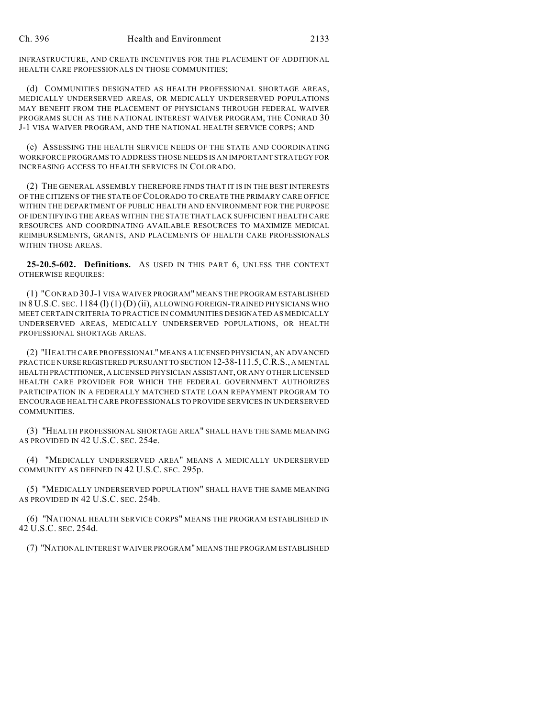INFRASTRUCTURE, AND CREATE INCENTIVES FOR THE PLACEMENT OF ADDITIONAL HEALTH CARE PROFESSIONALS IN THOSE COMMUNITIES;

(d) COMMUNITIES DESIGNATED AS HEALTH PROFESSIONAL SHORTAGE AREAS, MEDICALLY UNDERSERVED AREAS, OR MEDICALLY UNDERSERVED POPULATIONS MAY BENEFIT FROM THE PLACEMENT OF PHYSICIANS THROUGH FEDERAL WAIVER PROGRAMS SUCH AS THE NATIONAL INTEREST WAIVER PROGRAM, THE CONRAD 30 J-1 VISA WAIVER PROGRAM, AND THE NATIONAL HEALTH SERVICE CORPS; AND

(e) ASSESSING THE HEALTH SERVICE NEEDS OF THE STATE AND COORDINATING WORKFORCE PROGRAMS TO ADDRESS THOSE NEEDS IS AN IMPORTANT STRATEGY FOR INCREASING ACCESS TO HEALTH SERVICES IN COLORADO.

(2) THE GENERAL ASSEMBLY THEREFORE FINDS THAT IT IS IN THE BEST INTERESTS OF THE CITIZENS OF THE STATE OF COLORADO TO CREATE THE PRIMARY CARE OFFICE WITHIN THE DEPARTMENT OF PUBLIC HEALTH AND ENVIRONMENT FOR THE PURPOSE OF IDENTIFYING THE AREAS WITHIN THE STATE THAT LACK SUFFICIENT HEALTH CARE RESOURCES AND COORDINATING AVAILABLE RESOURCES TO MAXIMIZE MEDICAL REIMBURSEMENTS, GRANTS, AND PLACEMENTS OF HEALTH CARE PROFESSIONALS WITHIN THOSE AREAS.

**25-20.5-602. Definitions.** AS USED IN THIS PART 6, UNLESS THE CONTEXT OTHERWISE REQUIRES:

(1) "CONRAD 30 J-1 VISA WAIVER PROGRAM" MEANS THE PROGRAM ESTABLISHED IN 8 U.S.C. SEC. 1184 (l) (1)(D) (ii), ALLOWING FOREIGN-TRAINED PHYSICIANS WHO MEET CERTAIN CRITERIA TO PRACTICE IN COMMUNITIES DESIGNATED AS MEDICALLY UNDERSERVED AREAS, MEDICALLY UNDERSERVED POPULATIONS, OR HEALTH PROFESSIONAL SHORTAGE AREAS.

(2) "HEALTH CARE PROFESSIONAL" MEANS A LICENSED PHYSICIAN, AN ADVANCED PRACTICE NURSE REGISTERED PURSUANT TO SECTION 12-38-111.5,C.R.S., A MENTAL HEALTH PRACTITIONER, A LICENSED PHYSICIAN ASSISTANT, OR ANY OTHER LICENSED HEALTH CARE PROVIDER FOR WHICH THE FEDERAL GOVERNMENT AUTHORIZES PARTICIPATION IN A FEDERALLY MATCHED STATE LOAN REPAYMENT PROGRAM TO ENCOURAGE HEALTH CARE PROFESSIONALS TO PROVIDE SERVICES IN UNDERSERVED COMMUNITIES.

(3) "HEALTH PROFESSIONAL SHORTAGE AREA" SHALL HAVE THE SAME MEANING AS PROVIDED IN 42 U.S.C. SEC. 254e.

(4) "MEDICALLY UNDERSERVED AREA" MEANS A MEDICALLY UNDERSERVED COMMUNITY AS DEFINED IN 42 U.S.C. SEC. 295p.

(5) "MEDICALLY UNDERSERVED POPULATION" SHALL HAVE THE SAME MEANING AS PROVIDED IN 42 U.S.C. SEC. 254b.

(6) "NATIONAL HEALTH SERVICE CORPS" MEANS THE PROGRAM ESTABLISHED IN 42 U.S.C. SEC. 254d.

(7) "NATIONAL INTEREST WAIVER PROGRAM" MEANS THE PROGRAM ESTABLISHED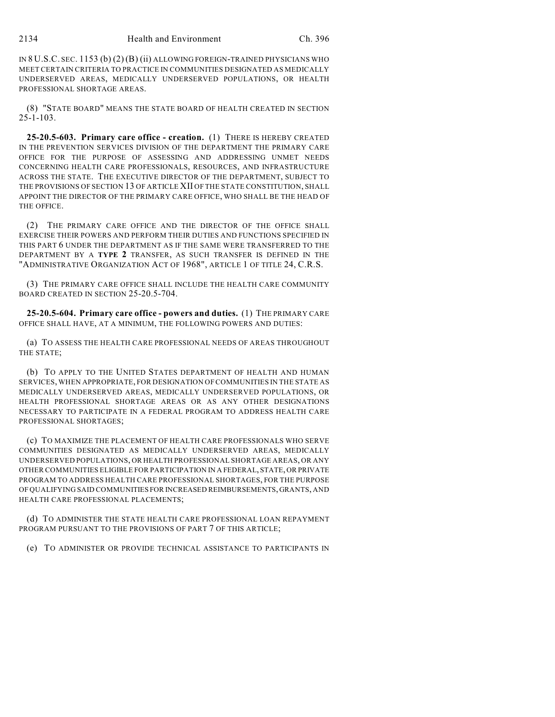IN 8 U.S.C. SEC. 1153 (b) (2)(B) (ii) ALLOWING FOREIGN-TRAINED PHYSICIANS WHO MEET CERTAIN CRITERIA TO PRACTICE IN COMMUNITIES DESIGNATED AS MEDICALLY UNDERSERVED AREAS, MEDICALLY UNDERSERVED POPULATIONS, OR HEALTH PROFESSIONAL SHORTAGE AREAS.

(8) "STATE BOARD" MEANS THE STATE BOARD OF HEALTH CREATED IN SECTION 25-1-103.

**25-20.5-603. Primary care office - creation.** (1) THERE IS HEREBY CREATED IN THE PREVENTION SERVICES DIVISION OF THE DEPARTMENT THE PRIMARY CARE OFFICE FOR THE PURPOSE OF ASSESSING AND ADDRESSING UNMET NEEDS CONCERNING HEALTH CARE PROFESSIONALS, RESOURCES, AND INFRASTRUCTURE ACROSS THE STATE. THE EXECUTIVE DIRECTOR OF THE DEPARTMENT, SUBJECT TO THE PROVISIONS OF SECTION 13 OF ARTICLE XII OF THE STATE CONSTITUTION, SHALL APPOINT THE DIRECTOR OF THE PRIMARY CARE OFFICE, WHO SHALL BE THE HEAD OF THE OFFICE.

(2) THE PRIMARY CARE OFFICE AND THE DIRECTOR OF THE OFFICE SHALL EXERCISE THEIR POWERS AND PERFORM THEIR DUTIES AND FUNCTIONS SPECIFIED IN THIS PART 6 UNDER THE DEPARTMENT AS IF THE SAME WERE TRANSFERRED TO THE DEPARTMENT BY A **TYPE 2** TRANSFER, AS SUCH TRANSFER IS DEFINED IN THE "ADMINISTRATIVE ORGANIZATION ACT OF 1968", ARTICLE 1 OF TITLE 24, C.R.S.

(3) THE PRIMARY CARE OFFICE SHALL INCLUDE THE HEALTH CARE COMMUNITY BOARD CREATED IN SECTION 25-20.5-704.

**25-20.5-604. Primary care office - powers and duties.** (1) THE PRIMARY CARE OFFICE SHALL HAVE, AT A MINIMUM, THE FOLLOWING POWERS AND DUTIES:

(a) TO ASSESS THE HEALTH CARE PROFESSIONAL NEEDS OF AREAS THROUGHOUT THE STATE;

(b) TO APPLY TO THE UNITED STATES DEPARTMENT OF HEALTH AND HUMAN SERVICES, WHEN APPROPRIATE, FOR DESIGNATION OF COMMUNITIES IN THE STATE AS MEDICALLY UNDERSERVED AREAS, MEDICALLY UNDERSERVED POPULATIONS, OR HEALTH PROFESSIONAL SHORTAGE AREAS OR AS ANY OTHER DESIGNATIONS NECESSARY TO PARTICIPATE IN A FEDERAL PROGRAM TO ADDRESS HEALTH CARE PROFESSIONAL SHORTAGES;

(c) TO MAXIMIZE THE PLACEMENT OF HEALTH CARE PROFESSIONALS WHO SERVE COMMUNITIES DESIGNATED AS MEDICALLY UNDERSERVED AREAS, MEDICALLY UNDERSERVED POPULATIONS, OR HEALTH PROFESSIONAL SHORTAGE AREAS, OR ANY OTHER COMMUNITIES ELIGIBLE FOR PARTICIPATION IN A FEDERAL, STATE, OR PRIVATE PROGRAM TO ADDRESS HEALTH CARE PROFESSIONAL SHORTAGES, FOR THE PURPOSE OF QUALIFYING SAID COMMUNITIES FOR INCREASED REIMBURSEMENTS, GRANTS, AND HEALTH CARE PROFESSIONAL PLACEMENTS;

(d) TO ADMINISTER THE STATE HEALTH CARE PROFESSIONAL LOAN REPAYMENT PROGRAM PURSUANT TO THE PROVISIONS OF PART 7 OF THIS ARTICLE;

(e) TO ADMINISTER OR PROVIDE TECHNICAL ASSISTANCE TO PARTICIPANTS IN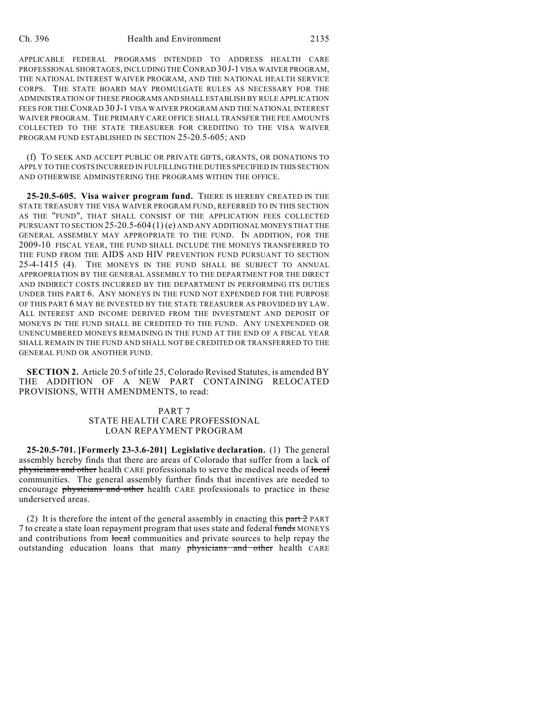APPLICABLE FEDERAL PROGRAMS INTENDED TO ADDRESS HEALTH CARE PROFESSIONAL SHORTAGES, INCLUDING THE CONRAD 30 J-1 VISA WAIVER PROGRAM, THE NATIONAL INTEREST WAIVER PROGRAM, AND THE NATIONAL HEALTH SERVICE CORPS. THE STATE BOARD MAY PROMULGATE RULES AS NECESSARY FOR THE ADMINISTRATION OF THESE PROGRAMS AND SHALL ESTABLISH BY RULE APPLICATION FEES FOR THE CONRAD 30 J-1 VISA WAIVER PROGRAM AND THE NATIONAL INTEREST WAIVER PROGRAM. THE PRIMARY CARE OFFICE SHALL TRANSFER THE FEE AMOUNTS COLLECTED TO THE STATE TREASURER FOR CREDITING TO THE VISA WAIVER PROGRAM FUND ESTABLISHED IN SECTION 25-20.5-605; AND

(f) TO SEEK AND ACCEPT PUBLIC OR PRIVATE GIFTS, GRANTS, OR DONATIONS TO APPLY TO THE COSTS INCURRED IN FULFILLING THE DUTIES SPECIFIED IN THIS SECTION AND OTHERWISE ADMINISTERING THE PROGRAMS WITHIN THE OFFICE.

**25-20.5-605. Visa waiver program fund.** THERE IS HEREBY CREATED IN THE STATE TREASURY THE VISA WAIVER PROGRAM FUND, REFERRED TO IN THIS SECTION AS THE "FUND", THAT SHALL CONSIST OF THE APPLICATION FEES COLLECTED PURSUANT TO SECTION 25-20.5-604 (1) (e) AND ANY ADDITIONAL MONEYS THAT THE GENERAL ASSEMBLY MAY APPROPRIATE TO THE FUND. IN ADDITION, FOR THE 2009-10 FISCAL YEAR, THE FUND SHALL INCLUDE THE MONEYS TRANSFERRED TO THE FUND FROM THE AIDS AND HIV PREVENTION FUND PURSUANT TO SECTION 25-4-1415 (4). THE MONEYS IN THE FUND SHALL BE SUBJECT TO ANNUAL APPROPRIATION BY THE GENERAL ASSEMBLY TO THE DEPARTMENT FOR THE DIRECT AND INDIRECT COSTS INCURRED BY THE DEPARTMENT IN PERFORMING ITS DUTIES UNDER THIS PART 6. ANY MONEYS IN THE FUND NOT EXPENDED FOR THE PURPOSE OF THIS PART 6 MAY BE INVESTED BY THE STATE TREASURER AS PROVIDED BY LAW. ALL INTEREST AND INCOME DERIVED FROM THE INVESTMENT AND DEPOSIT OF MONEYS IN THE FUND SHALL BE CREDITED TO THE FUND. ANY UNEXPENDED OR UNENCUMBERED MONEYS REMAINING IN THE FUND AT THE END OF A FISCAL YEAR SHALL REMAIN IN THE FUND AND SHALL NOT BE CREDITED OR TRANSFERRED TO THE GENERAL FUND OR ANOTHER FUND.

**SECTION 2.** Article 20.5 of title 25, Colorado Revised Statutes, is amended BY THE ADDITION OF A NEW PART CONTAINING RELOCATED PROVISIONS, WITH AMENDMENTS, to read:

### PART 7 STATE HEALTH CARE PROFESSIONAL LOAN REPAYMENT PROGRAM

**25-20.5-701. [Formerly 23-3.6-201] Legislative declaration.** (1) The general assembly hereby finds that there are areas of Colorado that suffer from a lack of physicians and other health CARE professionals to serve the medical needs of local communities. The general assembly further finds that incentives are needed to encourage physicians and other health CARE professionals to practice in these underserved areas.

(2) It is therefore the intent of the general assembly in enacting this  $part 2$  PART 7 to create a state loan repayment program that uses state and federal funds MONEYS and contributions from local communities and private sources to help repay the outstanding education loans that many physicians and other health CARE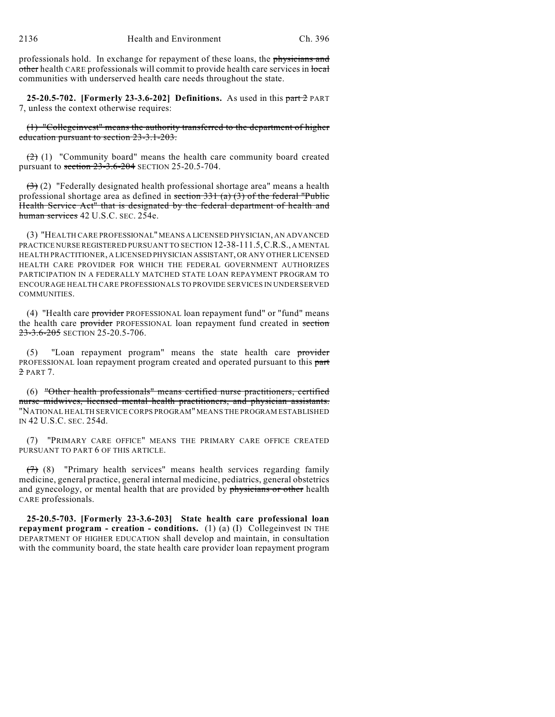professionals hold. In exchange for repayment of these loans, the physicians and other health CARE professionals will commit to provide health care services in local communities with underserved health care needs throughout the state.

**25-20.5-702. [Formerly 23-3.6-202] Definitions.** As used in this part 2 PART 7, unless the context otherwise requires:

(1) "Collegeinvest" means the authority transferred to the department of higher education pursuant to section 23-3.1-203.

 $(2)$  (1) "Community board" means the health care community board created pursuant to section 23-3.6-204 SECTION 25-20.5-704.

 $(3)$  (2) "Federally designated health professional shortage area" means a health professional shortage area as defined in section  $331$  (a) (3) of the federal "Public Health Service Act" that is designated by the federal department of health and human services 42 U.S.C. SEC. 254e.

(3) "HEALTH CARE PROFESSIONAL" MEANS A LICENSED PHYSICIAN, AN ADVANCED PRACTICE NURSE REGISTERED PURSUANT TO SECTION 12-38-111.5,C.R.S., A MENTAL HEALTH PRACTITIONER, A LICENSED PHYSICIAN ASSISTANT, OR ANY OTHER LICENSED HEALTH CARE PROVIDER FOR WHICH THE FEDERAL GOVERNMENT AUTHORIZES PARTICIPATION IN A FEDERALLY MATCHED STATE LOAN REPAYMENT PROGRAM TO ENCOURAGE HEALTH CARE PROFESSIONALS TO PROVIDE SERVICES IN UNDERSERVED COMMUNITIES.

(4) "Health care provider PROFESSIONAL loan repayment fund" or "fund" means the health care provider PROFESSIONAL loan repayment fund created in section 23-3.6-205 SECTION 25-20.5-706.

(5) "Loan repayment program" means the state health care provider PROFESSIONAL loan repayment program created and operated pursuant to this part 2 PART 7.

(6) "Other health professionals" means certified nurse practitioners, certified nurse midwives, licensed mental health practitioners, and physician assistants. "NATIONAL HEALTH SERVICE CORPS PROGRAM" MEANS THE PROGRAM ESTABLISHED IN 42 U.S.C. SEC. 254d.

(7) "PRIMARY CARE OFFICE" MEANS THE PRIMARY CARE OFFICE CREATED PURSUANT TO PART 6 OF THIS ARTICLE.

 $(7)$  (8) "Primary health services" means health services regarding family medicine, general practice, general internal medicine, pediatrics, general obstetrics and gynecology, or mental health that are provided by physicians or other health CARE professionals.

**25-20.5-703. [Formerly 23-3.6-203] State health care professional loan repayment program - creation - conditions.** (1) (a) (I) Collegeinvest IN THE DEPARTMENT OF HIGHER EDUCATION shall develop and maintain, in consultation with the community board, the state health care provider loan repayment program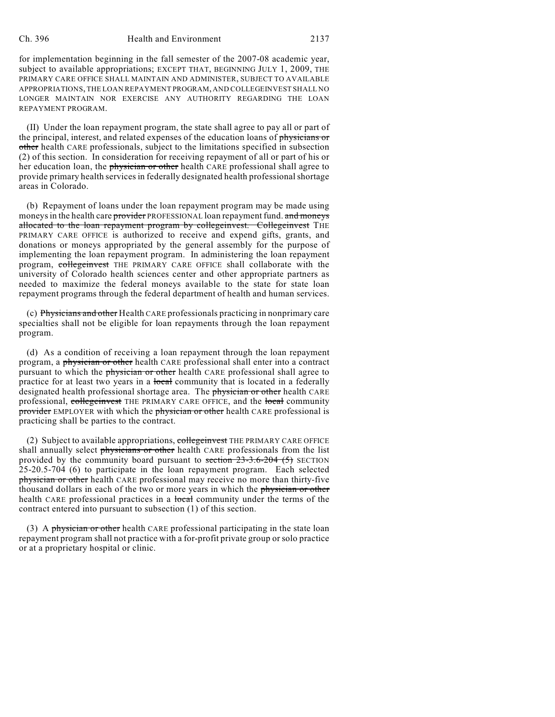#### Ch. 396 Health and Environment 2137

for implementation beginning in the fall semester of the 2007-08 academic year, subject to available appropriations; EXCEPT THAT, BEGINNING JULY 1, 2009, THE PRIMARY CARE OFFICE SHALL MAINTAIN AND ADMINISTER, SUBJECT TO AVAILABLE APPROPRIATIONS, THE LOAN REPAYMENT PROGRAM, AND COLLEGEINVEST SHALL NO LONGER MAINTAIN NOR EXERCISE ANY AUTHORITY REGARDING THE LOAN REPAYMENT PROGRAM.

(II) Under the loan repayment program, the state shall agree to pay all or part of the principal, interest, and related expenses of the education loans of physicians or other health CARE professionals, subject to the limitations specified in subsection (2) of this section. In consideration for receiving repayment of all or part of his or her education loan, the physician or other health CARE professional shall agree to provide primary health services in federally designated health professional shortage areas in Colorado.

(b) Repayment of loans under the loan repayment program may be made using moneys in the health care provider PROFESSIONAL loan repayment fund. and moneys allocated to the loan repayment program by collegeinvest. Collegeinvest THE PRIMARY CARE OFFICE is authorized to receive and expend gifts, grants, and donations or moneys appropriated by the general assembly for the purpose of implementing the loan repayment program. In administering the loan repayment program, collegeinvest THE PRIMARY CARE OFFICE shall collaborate with the university of Colorado health sciences center and other appropriate partners as needed to maximize the federal moneys available to the state for state loan repayment programs through the federal department of health and human services.

(c) Physicians and other Health CARE professionals practicing in nonprimary care specialties shall not be eligible for loan repayments through the loan repayment program.

(d) As a condition of receiving a loan repayment through the loan repayment program, a physician or other health CARE professional shall enter into a contract pursuant to which the *physician* or other health CARE professional shall agree to practice for at least two years in a local community that is located in a federally designated health professional shortage area. The physician or other health CARE professional, collegeinvest THE PRIMARY CARE OFFICE, and the local community provider EMPLOYER with which the physician or other health CARE professional is practicing shall be parties to the contract.

(2) Subject to available appropriations, collegeinvest THE PRIMARY CARE OFFICE shall annually select physicians or other health CARE professionals from the list provided by the community board pursuant to section  $23-3.6-204$  (5) SECTION 25-20.5-704 (6) to participate in the loan repayment program. Each selected physician or other health CARE professional may receive no more than thirty-five thousand dollars in each of the two or more years in which the physician or other health CARE professional practices in a <del>local</del> community under the terms of the contract entered into pursuant to subsection (1) of this section.

(3) A physician or other health CARE professional participating in the state loan repayment program shall not practice with a for-profit private group or solo practice or at a proprietary hospital or clinic.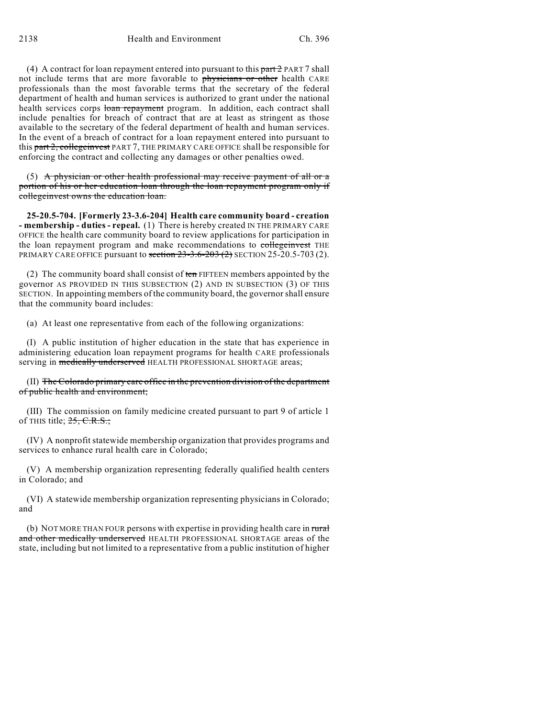(4) A contract for loan repayment entered into pursuant to this part  $2$  PART 7 shall not include terms that are more favorable to physicians or other health CARE professionals than the most favorable terms that the secretary of the federal department of health and human services is authorized to grant under the national health services corps loan repayment program. In addition, each contract shall include penalties for breach of contract that are at least as stringent as those available to the secretary of the federal department of health and human services. In the event of a breach of contract for a loan repayment entered into pursuant to this part 2, collegeinvest PART 7, THE PRIMARY CARE OFFICE shall be responsible for enforcing the contract and collecting any damages or other penalties owed.

 $(5)$  A physician or other health professional may receive payment of all or a portion of his or her education loan through the loan repayment program only if collegeinvest owns the education loan.

**25-20.5-704. [Formerly 23-3.6-204] Health care community board - creation - membership - duties - repeal.** (1) There is hereby created IN THE PRIMARY CARE OFFICE the health care community board to review applications for participation in the loan repayment program and make recommendations to collegeinvest THE PRIMARY CARE OFFICE pursuant to section  $23-3.6-203(2)$  SECTION 25-20.5-703 (2).

(2) The community board shall consist of  $t_{\text{en}}$  FIFTEEN members appointed by the governor AS PROVIDED IN THIS SUBSECTION (2) AND IN SUBSECTION (3) OF THIS SECTION. In appointing members of the community board, the governor shall ensure that the community board includes:

(a) At least one representative from each of the following organizations:

(I) A public institution of higher education in the state that has experience in administering education loan repayment programs for health CARE professionals serving in medically underserved HEALTH PROFESSIONAL SHORTAGE areas;

(II) The Colorado primary care office in the prevention division of the department of public health and environment;

(III) The commission on family medicine created pursuant to part 9 of article 1 of THIS title;  $25, C.R.S.$ ;

(IV) A nonprofit statewide membership organization that provides programs and services to enhance rural health care in Colorado;

(V) A membership organization representing federally qualified health centers in Colorado; and

(VI) A statewide membership organization representing physicians in Colorado; and

(b) NOT MORE THAN FOUR persons with expertise in providing health care in rural and other medically underserved HEALTH PROFESSIONAL SHORTAGE areas of the state, including but not limited to a representative from a public institution of higher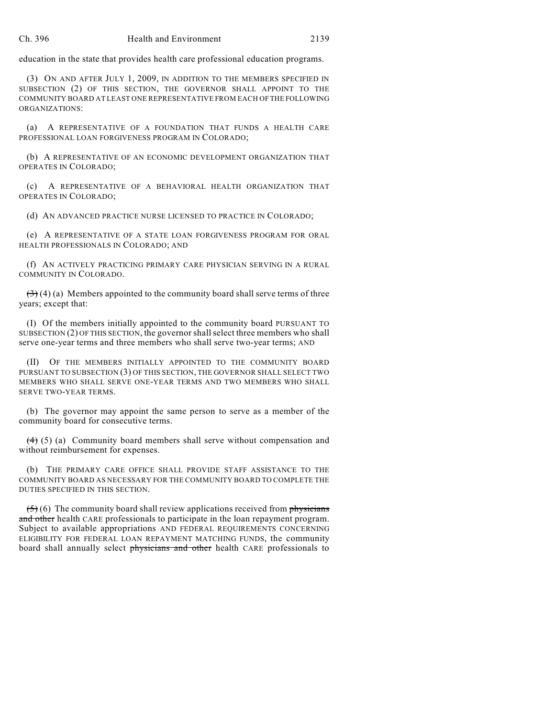education in the state that provides health care professional education programs.

(3) ON AND AFTER JULY 1, 2009, IN ADDITION TO THE MEMBERS SPECIFIED IN SUBSECTION (2) OF THIS SECTION, THE GOVERNOR SHALL APPOINT TO THE COMMUNITY BOARD AT LEAST ONE REPRESENTATIVE FROM EACH OF THE FOLLOWING ORGANIZATIONS:

(a) A REPRESENTATIVE OF A FOUNDATION THAT FUNDS A HEALTH CARE PROFESSIONAL LOAN FORGIVENESS PROGRAM IN COLORADO;

(b) A REPRESENTATIVE OF AN ECONOMIC DEVELOPMENT ORGANIZATION THAT OPERATES IN COLORADO;

(c) A REPRESENTATIVE OF A BEHAVIORAL HEALTH ORGANIZATION THAT OPERATES IN COLORADO;

(d) AN ADVANCED PRACTICE NURSE LICENSED TO PRACTICE IN COLORADO;

(e) A REPRESENTATIVE OF A STATE LOAN FORGIVENESS PROGRAM FOR ORAL HEALTH PROFESSIONALS IN COLORADO; AND

(f) AN ACTIVELY PRACTICING PRIMARY CARE PHYSICIAN SERVING IN A RURAL COMMUNITY IN COLORADO.

 $(3)$  (4) (a) Members appointed to the community board shall serve terms of three years; except that:

(I) Of the members initially appointed to the community board PURSUANT TO SUBSECTION (2) OF THIS SECTION, the governor shall select three members who shall serve one-year terms and three members who shall serve two-year terms; AND

(II) OF THE MEMBERS INITIALLY APPOINTED TO THE COMMUNITY BOARD PURSUANT TO SUBSECTION (3) OF THIS SECTION, THE GOVERNOR SHALL SELECT TWO MEMBERS WHO SHALL SERVE ONE-YEAR TERMS AND TWO MEMBERS WHO SHALL SERVE TWO-YEAR TERMS.

(b) The governor may appoint the same person to serve as a member of the community board for consecutive terms.

 $(4)$  (5) (a) Community board members shall serve without compensation and without reimbursement for expenses.

(b) THE PRIMARY CARE OFFICE SHALL PROVIDE STAFF ASSISTANCE TO THE COMMUNITY BOARD AS NECESSARY FOR THE COMMUNITY BOARD TO COMPLETE THE DUTIES SPECIFIED IN THIS SECTION.

 $(5)$  (6) The community board shall review applications received from physicians and other health CARE professionals to participate in the loan repayment program. Subject to available appropriations AND FEDERAL REQUIREMENTS CONCERNING ELIGIBILITY FOR FEDERAL LOAN REPAYMENT MATCHING FUNDS, the community board shall annually select physicians and other health CARE professionals to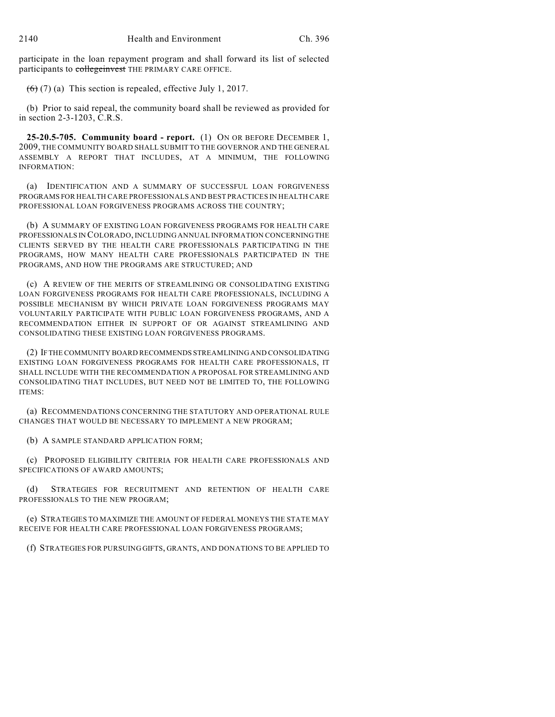participate in the loan repayment program and shall forward its list of selected participants to collegeinvest THE PRIMARY CARE OFFICE.

 $(6)$  (7) (a) This section is repealed, effective July 1, 2017.

(b) Prior to said repeal, the community board shall be reviewed as provided for in section 2-3-1203, C.R.S.

**25-20.5-705. Community board - report.** (1) ON OR BEFORE DECEMBER 1, 2009, THE COMMUNITY BOARD SHALL SUBMIT TO THE GOVERNOR AND THE GENERAL ASSEMBLY A REPORT THAT INCLUDES, AT A MINIMUM, THE FOLLOWING INFORMATION:

(a) IDENTIFICATION AND A SUMMARY OF SUCCESSFUL LOAN FORGIVENESS PROGRAMS FOR HEALTH CARE PROFESSIONALS AND BEST PRACTICES IN HEALTH CARE PROFESSIONAL LOAN FORGIVENESS PROGRAMS ACROSS THE COUNTRY;

(b) A SUMMARY OF EXISTING LOAN FORGIVENESS PROGRAMS FOR HEALTH CARE PROFESSIONALS IN COLORADO, INCLUDING ANNUAL INFORMATION CONCERNING THE CLIENTS SERVED BY THE HEALTH CARE PROFESSIONALS PARTICIPATING IN THE PROGRAMS, HOW MANY HEALTH CARE PROFESSIONALS PARTICIPATED IN THE PROGRAMS, AND HOW THE PROGRAMS ARE STRUCTURED; AND

(c) A REVIEW OF THE MERITS OF STREAMLINING OR CONSOLIDATING EXISTING LOAN FORGIVENESS PROGRAMS FOR HEALTH CARE PROFESSIONALS, INCLUDING A POSSIBLE MECHANISM BY WHICH PRIVATE LOAN FORGIVENESS PROGRAMS MAY VOLUNTARILY PARTICIPATE WITH PUBLIC LOAN FORGIVENESS PROGRAMS, AND A RECOMMENDATION EITHER IN SUPPORT OF OR AGAINST STREAMLINING AND CONSOLIDATING THESE EXISTING LOAN FORGIVENESS PROGRAMS.

(2) IF THE COMMUNITY BOARD RECOMMENDS STREAMLINING AND CONSOLIDATING EXISTING LOAN FORGIVENESS PROGRAMS FOR HEALTH CARE PROFESSIONALS, IT SHALL INCLUDE WITH THE RECOMMENDATION A PROPOSAL FOR STREAMLINING AND CONSOLIDATING THAT INCLUDES, BUT NEED NOT BE LIMITED TO, THE FOLLOWING ITEMS:

(a) RECOMMENDATIONS CONCERNING THE STATUTORY AND OPERATIONAL RULE CHANGES THAT WOULD BE NECESSARY TO IMPLEMENT A NEW PROGRAM;

(b) A SAMPLE STANDARD APPLICATION FORM;

(c) PROPOSED ELIGIBILITY CRITERIA FOR HEALTH CARE PROFESSIONALS AND SPECIFICATIONS OF AWARD AMOUNTS;

(d) STRATEGIES FOR RECRUITMENT AND RETENTION OF HEALTH CARE PROFESSIONALS TO THE NEW PROGRAM;

(e) STRATEGIES TO MAXIMIZE THE AMOUNT OF FEDERAL MONEYS THE STATE MAY RECEIVE FOR HEALTH CARE PROFESSIONAL LOAN FORGIVENESS PROGRAMS;

(f) STRATEGIES FOR PURSUING GIFTS, GRANTS, AND DONATIONS TO BE APPLIED TO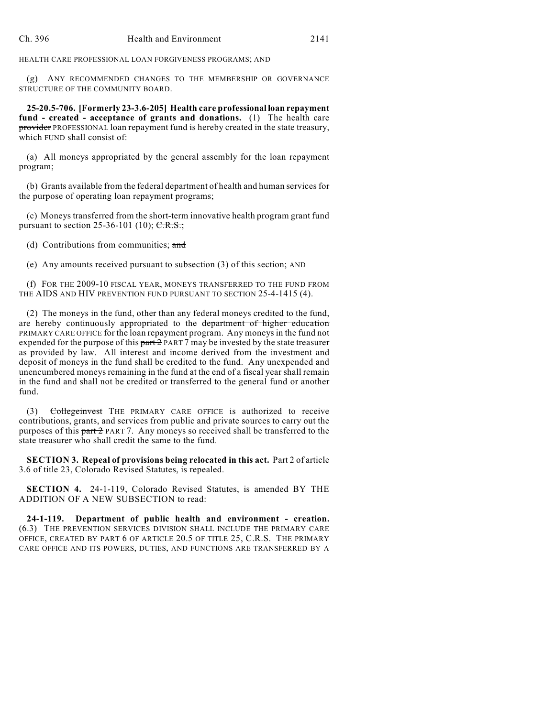HEALTH CARE PROFESSIONAL LOAN FORGIVENESS PROGRAMS; AND

(g) ANY RECOMMENDED CHANGES TO THE MEMBERSHIP OR GOVERNANCE STRUCTURE OF THE COMMUNITY BOARD.

**25-20.5-706. [Formerly 23-3.6-205] Health care professional loan repayment fund - created - acceptance of grants and donations.** (1) The health care provider PROFESSIONAL loan repayment fund is hereby created in the state treasury, which FUND shall consist of:

(a) All moneys appropriated by the general assembly for the loan repayment program;

(b) Grants available from the federal department of health and human services for the purpose of operating loan repayment programs;

(c) Moneys transferred from the short-term innovative health program grant fund pursuant to section 25-36-101 (10);  $C.R.S.,$ 

(d) Contributions from communities; and

(e) Any amounts received pursuant to subsection (3) of this section; AND

(f) FOR THE 2009-10 FISCAL YEAR, MONEYS TRANSFERRED TO THE FUND FROM THE AIDS AND HIV PREVENTION FUND PURSUANT TO SECTION 25-4-1415 (4).

(2) The moneys in the fund, other than any federal moneys credited to the fund, are hereby continuously appropriated to the department of higher education PRIMARY CARE OFFICE for the loan repayment program. Any moneys in the fund not expended for the purpose of this  $part 2$  PART 7 may be invested by the state treasurer as provided by law. All interest and income derived from the investment and deposit of moneys in the fund shall be credited to the fund. Any unexpended and unencumbered moneys remaining in the fund at the end of a fiscal year shall remain in the fund and shall not be credited or transferred to the general fund or another fund.

(3) Collegeinvest THE PRIMARY CARE OFFICE is authorized to receive contributions, grants, and services from public and private sources to carry out the purposes of this  $part 2$  PART 7. Any moneys so received shall be transferred to the state treasurer who shall credit the same to the fund.

**SECTION 3. Repeal of provisions being relocated in this act.** Part 2 of article 3.6 of title 23, Colorado Revised Statutes, is repealed.

**SECTION 4.** 24-1-119, Colorado Revised Statutes, is amended BY THE ADDITION OF A NEW SUBSECTION to read:

**24-1-119. Department of public health and environment - creation.** (6.3) THE PREVENTION SERVICES DIVISION SHALL INCLUDE THE PRIMARY CARE OFFICE, CREATED BY PART 6 OF ARTICLE 20.5 OF TITLE 25, C.R.S. THE PRIMARY CARE OFFICE AND ITS POWERS, DUTIES, AND FUNCTIONS ARE TRANSFERRED BY A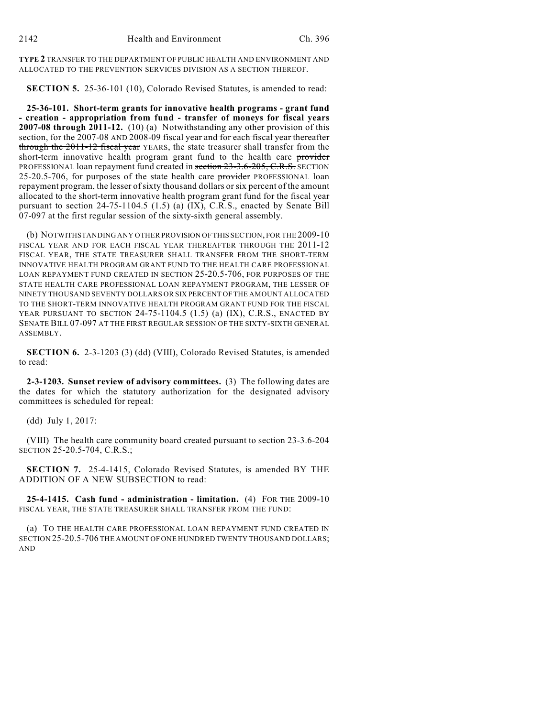**TYPE 2** TRANSFER TO THE DEPARTMENT OF PUBLIC HEALTH AND ENVIRONMENT AND ALLOCATED TO THE PREVENTION SERVICES DIVISION AS A SECTION THEREOF.

**SECTION 5.** 25-36-101 (10), Colorado Revised Statutes, is amended to read:

**25-36-101. Short-term grants for innovative health programs - grant fund - creation - appropriation from fund - transfer of moneys for fiscal years 2007-08 through 2011-12.** (10) (a) Notwithstanding any other provision of this section, for the 2007-08 AND 2008-09 fiscal year and for each fiscal year thereafter through the 2011-12 fiscal year YEARS, the state treasurer shall transfer from the short-term innovative health program grant fund to the health care provider PROFESSIONAL loan repayment fund created in section 23-3.6-205, C.R.S. SECTION 25-20.5-706, for purposes of the state health care provider PROFESSIONAL loan repayment program, the lesser ofsixty thousand dollars or six percent of the amount allocated to the short-term innovative health program grant fund for the fiscal year pursuant to section 24-75-1104.5 (1.5) (a) (IX), C.R.S., enacted by Senate Bill 07-097 at the first regular session of the sixty-sixth general assembly.

(b) NOTWITHSTANDING ANY OTHER PROVISION OF THIS SECTION, FOR THE 2009-10 FISCAL YEAR AND FOR EACH FISCAL YEAR THEREAFTER THROUGH THE 2011-12 FISCAL YEAR, THE STATE TREASURER SHALL TRANSFER FROM THE SHORT-TERM INNOVATIVE HEALTH PROGRAM GRANT FUND TO THE HEALTH CARE PROFESSIONAL LOAN REPAYMENT FUND CREATED IN SECTION 25-20.5-706, FOR PURPOSES OF THE STATE HEALTH CARE PROFESSIONAL LOAN REPAYMENT PROGRAM, THE LESSER OF NINETY THOUSAND SEVENTY DOLLARS OR SIX PERCENT OF THE AMOUNT ALLOCATED TO THE SHORT-TERM INNOVATIVE HEALTH PROGRAM GRANT FUND FOR THE FISCAL YEAR PURSUANT TO SECTION 24-75-1104.5 (1.5) (a) (IX), C.R.S., ENACTED BY SENATE BILL 07-097 AT THE FIRST REGULAR SESSION OF THE SIXTY-SIXTH GENERAL ASSEMBLY.

**SECTION 6.** 2-3-1203 (3) (dd) (VIII), Colorado Revised Statutes, is amended to read:

**2-3-1203. Sunset review of advisory committees.** (3) The following dates are the dates for which the statutory authorization for the designated advisory committees is scheduled for repeal:

(dd) July 1, 2017:

(VIII) The health care community board created pursuant to section 23-3.6-204 SECTION 25-20.5-704, C.R.S.;

**SECTION 7.** 25-4-1415, Colorado Revised Statutes, is amended BY THE ADDITION OF A NEW SUBSECTION to read:

**25-4-1415. Cash fund - administration - limitation.** (4) FOR THE 2009-10 FISCAL YEAR, THE STATE TREASURER SHALL TRANSFER FROM THE FUND:

(a) TO THE HEALTH CARE PROFESSIONAL LOAN REPAYMENT FUND CREATED IN SECTION 25-20.5-706 THE AMOUNT OF ONE HUNDRED TWENTY THOUSAND DOLLARS; AND